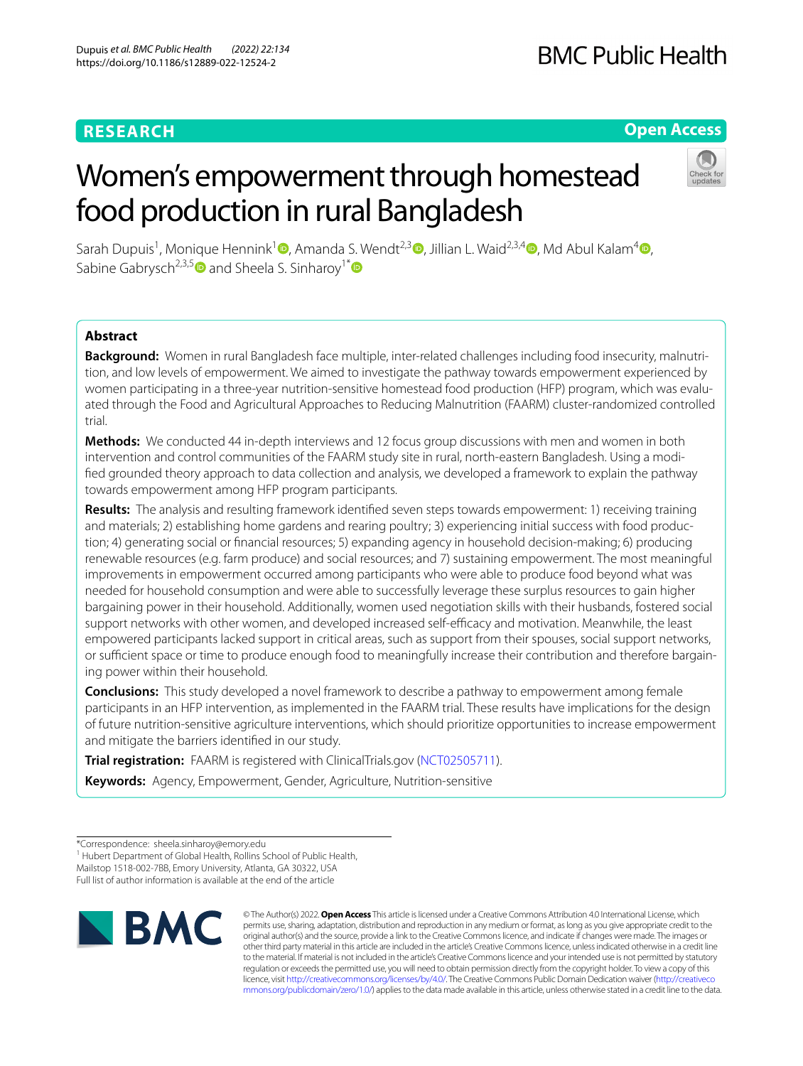# **RESEARCH**

# **Open Access**

# Women's empowerment through homestead food production in rural Bangladesh



Sarah Dupuis<sup>[1](https://orcid.org/0000-0002-5853-5791)</sup>, Monique Hennink<sup>1</sup> <sup>(D</sup>, Amanda S. Wendt<sup>2,[3](https://orcid.org/0000-0001-6019-1900)</sup> <sup>(D</sup>[,](https://orcid.org/0000-0001-7668-4179) Jillian L. Waid<sup>2,3,[4](https://orcid.org/0000-0003-4236-8519)</sup> (D, Md Abul Kalam<sup>4</sup> (D, Sabine Gabrysch<sup>2,3,[5](https://orcid.org/0000-0002-7081-0506)</sup> and Sheela S. Sinharoy<sup>1[\\*](https://orcid.org/0000-0003-3077-3824)</sup>

# **Abstract**

**Background:** Women in rural Bangladesh face multiple, inter-related challenges including food insecurity, malnutrition, and low levels of empowerment. We aimed to investigate the pathway towards empowerment experienced by women participating in a three-year nutrition-sensitive homestead food production (HFP) program, which was evaluated through the Food and Agricultural Approaches to Reducing Malnutrition (FAARM) cluster-randomized controlled trial.

**Methods:** We conducted 44 in-depth interviews and 12 focus group discussions with men and women in both intervention and control communities of the FAARM study site in rural, north-eastern Bangladesh. Using a modifed grounded theory approach to data collection and analysis, we developed a framework to explain the pathway towards empowerment among HFP program participants.

**Results:** The analysis and resulting framework identifed seven steps towards empowerment: 1) receiving training and materials; 2) establishing home gardens and rearing poultry; 3) experiencing initial success with food production; 4) generating social or fnancial resources; 5) expanding agency in household decision-making; 6) producing renewable resources (e.g. farm produce) and social resources; and 7) sustaining empowerment. The most meaningful improvements in empowerment occurred among participants who were able to produce food beyond what was needed for household consumption and were able to successfully leverage these surplus resources to gain higher bargaining power in their household. Additionally, women used negotiation skills with their husbands, fostered social support networks with other women, and developed increased self-efficacy and motivation. Meanwhile, the least empowered participants lacked support in critical areas, such as support from their spouses, social support networks, or sufficient space or time to produce enough food to meaningfully increase their contribution and therefore bargaining power within their household.

**Conclusions:** This study developed a novel framework to describe a pathway to empowerment among female participants in an HFP intervention, as implemented in the FAARM trial. These results have implications for the design of future nutrition-sensitive agriculture interventions, which should prioritize opportunities to increase empowerment and mitigate the barriers identifed in our study.

**Trial registration:** FAARM is registered with ClinicalTrials.gov [\(NCT02505711](https://clinicaltrials.gov/ct2/show/NCT02505711)).

**Keywords:** Agency, Empowerment, Gender, Agriculture, Nutrition-sensitive

<sup>1</sup> Hubert Department of Global Health, Rollins School of Public Health, Mailstop 1518-002-7BB, Emory University, Atlanta, GA 30322, USA

Full list of author information is available at the end of the article



© The Author(s) 2022. **Open Access** This article is licensed under a Creative Commons Attribution 4.0 International License, which permits use, sharing, adaptation, distribution and reproduction in any medium or format, as long as you give appropriate credit to the original author(s) and the source, provide a link to the Creative Commons licence, and indicate if changes were made. The images or other third party material in this article are included in the article's Creative Commons licence, unless indicated otherwise in a credit line to the material. If material is not included in the article's Creative Commons licence and your intended use is not permitted by statutory regulation or exceeds the permitted use, you will need to obtain permission directly from the copyright holder. To view a copy of this licence, visit [http://creativecommons.org/licenses/by/4.0/.](http://creativecommons.org/licenses/by/4.0/) The Creative Commons Public Domain Dedication waiver ([http://creativeco](http://creativecommons.org/publicdomain/zero/1.0/) [mmons.org/publicdomain/zero/1.0/](http://creativecommons.org/publicdomain/zero/1.0/)) applies to the data made available in this article, unless otherwise stated in a credit line to the data.

<sup>\*</sup>Correspondence: sheela.sinharoy@emory.edu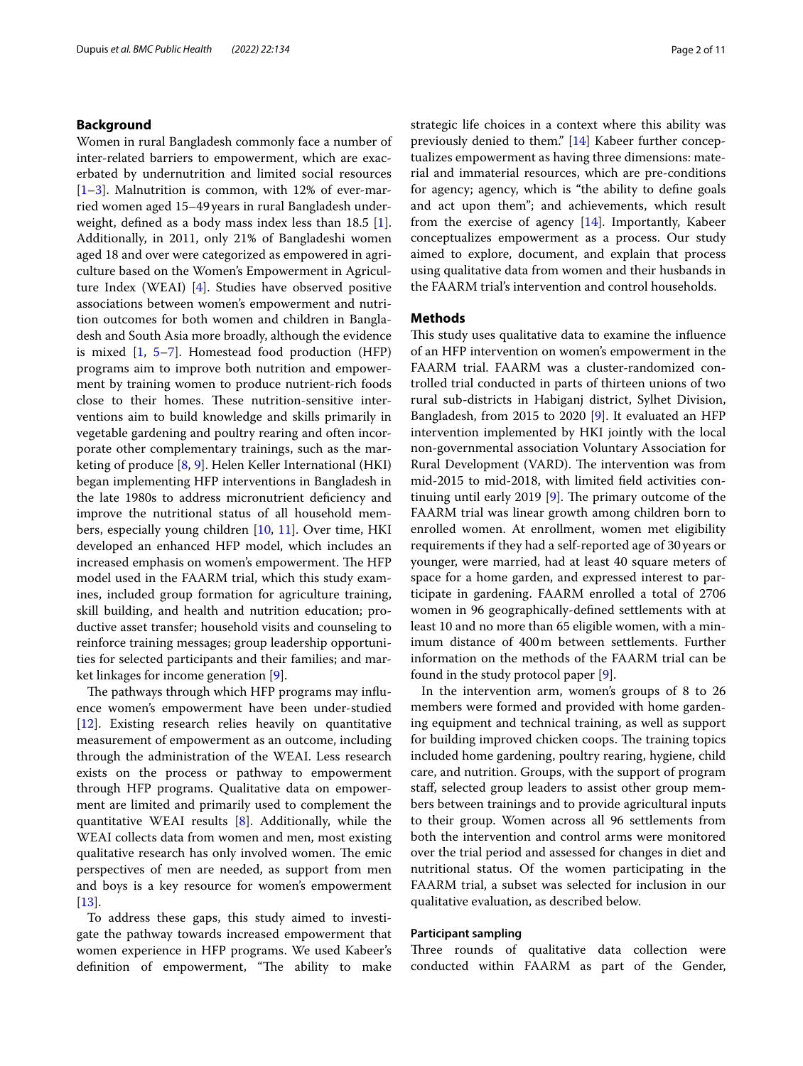## **Background**

Women in rural Bangladesh commonly face a number of inter-related barriers to empowerment, which are exacerbated by undernutrition and limited social resources  $[1-3]$  $[1-3]$ . Malnutrition is common, with 12% of ever-married women aged 15–49years in rural Bangladesh underweight, defned as a body mass index less than 18.5 [\[1](#page-9-0)]. Additionally, in 2011, only 21% of Bangladeshi women aged 18 and over were categorized as empowered in agriculture based on the Women's Empowerment in Agriculture Index (WEAI) [\[4](#page-9-2)]. Studies have observed positive associations between women's empowerment and nutrition outcomes for both women and children in Bangladesh and South Asia more broadly, although the evidence is mixed [[1,](#page-9-0) [5–](#page-9-3)[7\]](#page-9-4). Homestead food production (HFP) programs aim to improve both nutrition and empowerment by training women to produce nutrient-rich foods close to their homes. These nutrition-sensitive interventions aim to build knowledge and skills primarily in vegetable gardening and poultry rearing and often incorporate other complementary trainings, such as the marketing of produce [\[8](#page-9-5), [9](#page-9-6)]. Helen Keller International (HKI) began implementing HFP interventions in Bangladesh in the late 1980s to address micronutrient deficiency and improve the nutritional status of all household members, especially young children [\[10,](#page-9-7) [11](#page-10-0)]. Over time, HKI developed an enhanced HFP model, which includes an increased emphasis on women's empowerment. The HFP model used in the FAARM trial, which this study examines, included group formation for agriculture training, skill building, and health and nutrition education; productive asset transfer; household visits and counseling to reinforce training messages; group leadership opportunities for selected participants and their families; and market linkages for income generation [[9\]](#page-9-6).

The pathways through which HFP programs may influence women's empowerment have been under-studied [[12\]](#page-10-1). Existing research relies heavily on quantitative measurement of empowerment as an outcome, including through the administration of the WEAI. Less research exists on the process or pathway to empowerment through HFP programs. Qualitative data on empowerment are limited and primarily used to complement the quantitative WEAI results [\[8](#page-9-5)]. Additionally, while the WEAI collects data from women and men, most existing qualitative research has only involved women. The emic perspectives of men are needed, as support from men and boys is a key resource for women's empowerment  $[13]$  $[13]$ .

To address these gaps, this study aimed to investigate the pathway towards increased empowerment that women experience in HFP programs. We used Kabeer's definition of empowerment, "The ability to make strategic life choices in a context where this ability was previously denied to them." [[14\]](#page-10-3) Kabeer further conceptualizes empowerment as having three dimensions: material and immaterial resources, which are pre-conditions for agency; agency, which is "the ability to defne goals and act upon them"; and achievements, which result from the exercise of agency [[14\]](#page-10-3). Importantly, Kabeer conceptualizes empowerment as a process. Our study aimed to explore, document, and explain that process using qualitative data from women and their husbands in the FAARM trial's intervention and control households.

#### **Methods**

This study uses qualitative data to examine the influence of an HFP intervention on women's empowerment in the FAARM trial. FAARM was a cluster-randomized controlled trial conducted in parts of thirteen unions of two rural sub-districts in Habiganj district, Sylhet Division, Bangladesh, from 2015 to 2020 [\[9](#page-9-6)]. It evaluated an HFP intervention implemented by HKI jointly with the local non-governmental association Voluntary Association for Rural Development (VARD). The intervention was from mid-2015 to mid-2018, with limited feld activities continuing until early 2019  $[9]$  $[9]$ . The primary outcome of the FAARM trial was linear growth among children born to enrolled women. At enrollment, women met eligibility requirements if they had a self-reported age of 30 years or younger, were married, had at least 40 square meters of space for a home garden, and expressed interest to participate in gardening. FAARM enrolled a total of 2706 women in 96 geographically-defned settlements with at least 10 and no more than 65 eligible women, with a minimum distance of 400m between settlements. Further information on the methods of the FAARM trial can be found in the study protocol paper [[9\]](#page-9-6).

In the intervention arm, women's groups of 8 to 26 members were formed and provided with home gardening equipment and technical training, as well as support for building improved chicken coops. The training topics included home gardening, poultry rearing, hygiene, child care, and nutrition. Groups, with the support of program staf, selected group leaders to assist other group members between trainings and to provide agricultural inputs to their group. Women across all 96 settlements from both the intervention and control arms were monitored over the trial period and assessed for changes in diet and nutritional status. Of the women participating in the FAARM trial, a subset was selected for inclusion in our qualitative evaluation, as described below.

#### **Participant sampling**

Three rounds of qualitative data collection were conducted within FAARM as part of the Gender,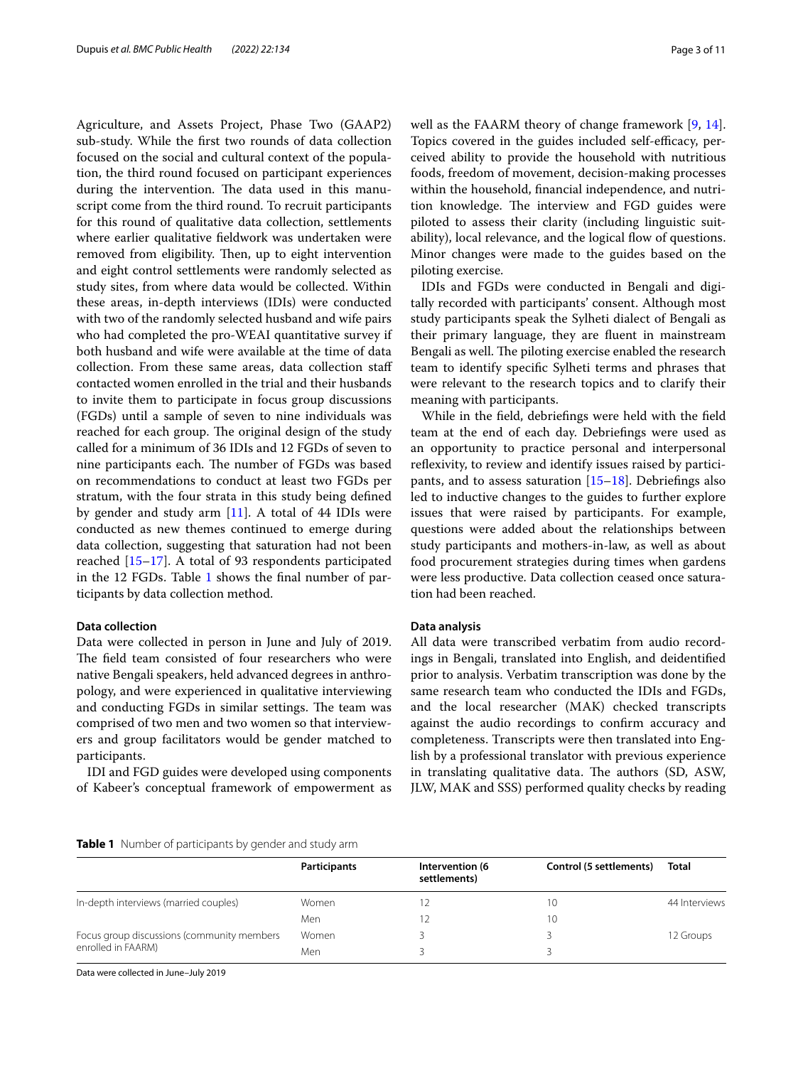Agriculture, and Assets Project, Phase Two (GAAP2) sub-study. While the frst two rounds of data collection focused on the social and cultural context of the population, the third round focused on participant experiences during the intervention. The data used in this manuscript come from the third round. To recruit participants for this round of qualitative data collection, settlements where earlier qualitative feldwork was undertaken were removed from eligibility. Then, up to eight intervention and eight control settlements were randomly selected as study sites, from where data would be collected. Within these areas, in-depth interviews (IDIs) were conducted with two of the randomly selected husband and wife pairs who had completed the pro-WEAI quantitative survey if both husband and wife were available at the time of data collection. From these same areas, data collection staf contacted women enrolled in the trial and their husbands to invite them to participate in focus group discussions (FGDs) until a sample of seven to nine individuals was reached for each group. The original design of the study called for a minimum of 36 IDIs and 12 FGDs of seven to nine participants each. The number of FGDs was based on recommendations to conduct at least two FGDs per stratum, with the four strata in this study being defned by gender and study arm  $[11]$ . A total of 44 IDIs were conducted as new themes continued to emerge during data collection, suggesting that saturation had not been reached [[15–](#page-10-4)[17](#page-10-5)]. A total of 93 respondents participated in the 12 FGDs. Table [1](#page-2-0) shows the fnal number of participants by data collection method.

### **Data collection**

Data were collected in person in June and July of 2019. The field team consisted of four researchers who were native Bengali speakers, held advanced degrees in anthropology, and were experienced in qualitative interviewing and conducting FGDs in similar settings. The team was comprised of two men and two women so that interviewers and group facilitators would be gender matched to participants.

IDI and FGD guides were developed using components of Kabeer's conceptual framework of empowerment as well as the FAARM theory of change framework [\[9](#page-9-6), [14](#page-10-3)]. Topics covered in the guides included self-efficacy, perceived ability to provide the household with nutritious foods, freedom of movement, decision-making processes within the household, fnancial independence, and nutrition knowledge. The interview and FGD guides were piloted to assess their clarity (including linguistic suitability), local relevance, and the logical flow of questions. Minor changes were made to the guides based on the piloting exercise.

IDIs and FGDs were conducted in Bengali and digitally recorded with participants' consent. Although most study participants speak the Sylheti dialect of Bengali as their primary language, they are fuent in mainstream Bengali as well. The piloting exercise enabled the research team to identify specifc Sylheti terms and phrases that were relevant to the research topics and to clarify their meaning with participants.

While in the feld, debriefngs were held with the feld team at the end of each day. Debriefngs were used as an opportunity to practice personal and interpersonal reflexivity, to review and identify issues raised by participants, and to assess saturation  $[15–18]$  $[15–18]$  $[15–18]$ . Debriefings also led to inductive changes to the guides to further explore issues that were raised by participants. For example, questions were added about the relationships between study participants and mothers-in-law, as well as about food procurement strategies during times when gardens were less productive. Data collection ceased once saturation had been reached.

#### **Data analysis**

All data were transcribed verbatim from audio recordings in Bengali, translated into English, and deidentifed prior to analysis. Verbatim transcription was done by the same research team who conducted the IDIs and FGDs, and the local researcher (MAK) checked transcripts against the audio recordings to confrm accuracy and completeness. Transcripts were then translated into English by a professional translator with previous experience in translating qualitative data. The authors (SD, ASW, JLW, MAK and SSS) performed quality checks by reading

### <span id="page-2-0"></span>**Table 1** Number of participants by gender and study arm

|                                                                  | Participants | Intervention (6<br>settlements) | Control (5 settlements) | Total         |
|------------------------------------------------------------------|--------------|---------------------------------|-------------------------|---------------|
| In-depth interviews (married couples)                            | Women        |                                 | $\left($                | 44 Interviews |
|                                                                  | Men          |                                 | $10^{-1}$               |               |
| Focus group discussions (community members<br>enrolled in FAARM) | Women        |                                 |                         | 12 Groups     |
|                                                                  | Men          |                                 |                         |               |

Data were collected in June–July 2019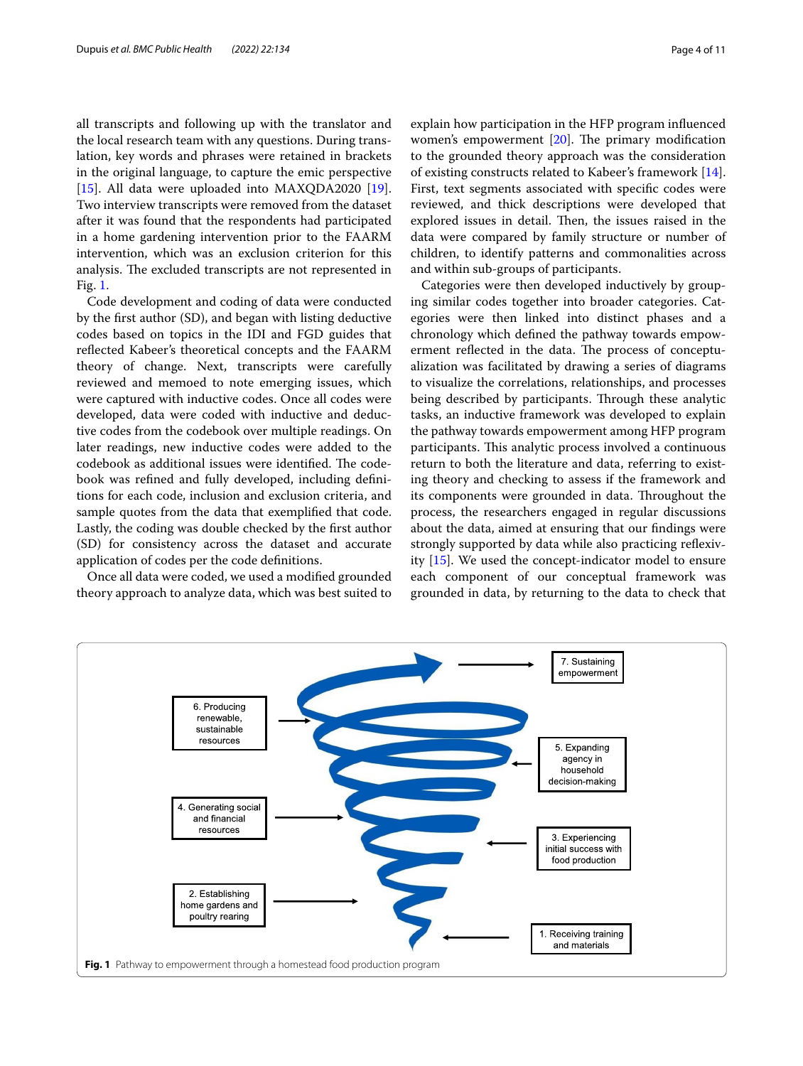all transcripts and following up with the translator and the local research team with any questions. During translation, key words and phrases were retained in brackets in the original language, to capture the emic perspective [[15\]](#page-10-4). All data were uploaded into MAXQDA2020 [\[19](#page-10-7)]. Two interview transcripts were removed from the dataset after it was found that the respondents had participated in a home gardening intervention prior to the FAARM intervention, which was an exclusion criterion for this analysis. The excluded transcripts are not represented in Fig. [1.](#page-3-0)

Code development and coding of data were conducted by the frst author (SD), and began with listing deductive codes based on topics in the IDI and FGD guides that refected Kabeer's theoretical concepts and the FAARM theory of change. Next, transcripts were carefully reviewed and memoed to note emerging issues, which were captured with inductive codes. Once all codes were developed, data were coded with inductive and deductive codes from the codebook over multiple readings. On later readings, new inductive codes were added to the codebook as additional issues were identified. The codebook was refned and fully developed, including defnitions for each code, inclusion and exclusion criteria, and sample quotes from the data that exemplifed that code. Lastly, the coding was double checked by the frst author (SD) for consistency across the dataset and accurate application of codes per the code defnitions.

Once all data were coded, we used a modifed grounded theory approach to analyze data, which was best suited to explain how participation in the HFP program infuenced women's empowerment  $[20]$  $[20]$ . The primary modification to the grounded theory approach was the consideration of existing constructs related to Kabeer's framework [\[14](#page-10-3)]. First, text segments associated with specifc codes were reviewed, and thick descriptions were developed that explored issues in detail. Then, the issues raised in the data were compared by family structure or number of children, to identify patterns and commonalities across and within sub-groups of participants.

Categories were then developed inductively by grouping similar codes together into broader categories. Categories were then linked into distinct phases and a chronology which defned the pathway towards empowerment reflected in the data. The process of conceptualization was facilitated by drawing a series of diagrams to visualize the correlations, relationships, and processes being described by participants. Through these analytic tasks, an inductive framework was developed to explain the pathway towards empowerment among HFP program participants. This analytic process involved a continuous return to both the literature and data, referring to existing theory and checking to assess if the framework and its components were grounded in data. Throughout the process, the researchers engaged in regular discussions about the data, aimed at ensuring that our fndings were strongly supported by data while also practicing refexivity [\[15](#page-10-4)]. We used the concept-indicator model to ensure each component of our conceptual framework was grounded in data, by returning to the data to check that

<span id="page-3-0"></span>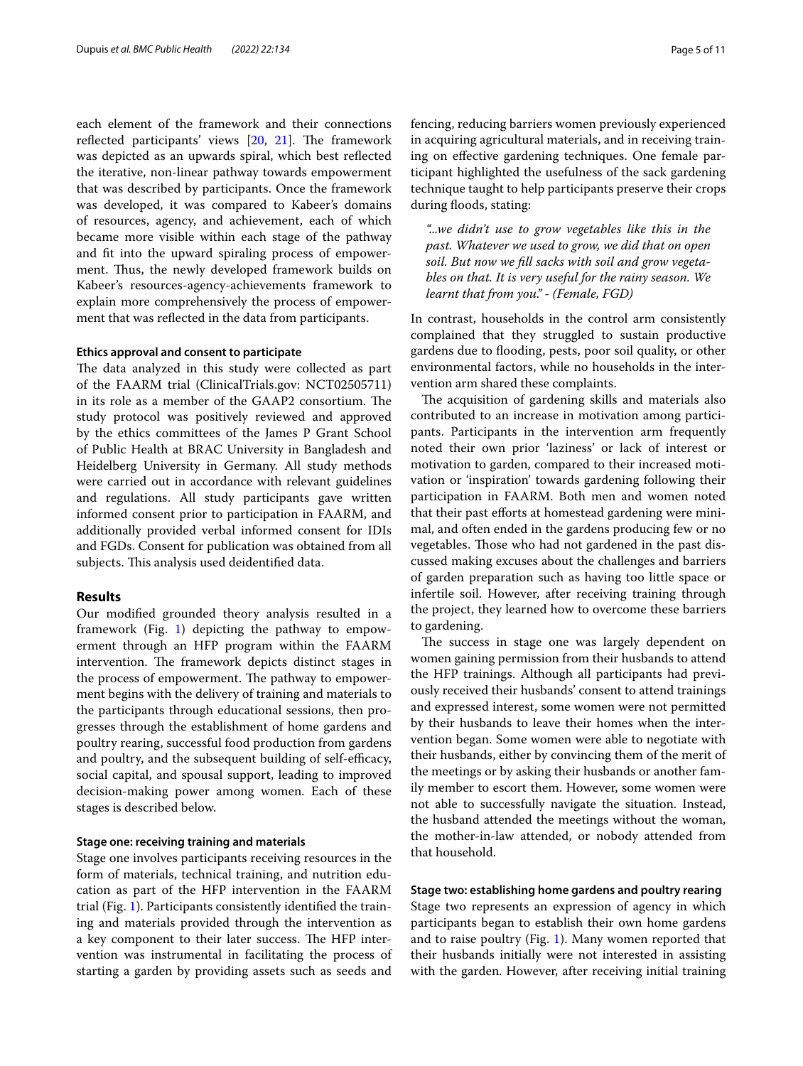each element of the framework and their connections reflected participants' views [\[20](#page-10-8), [21\]](#page-10-9). The framework was depicted as an upwards spiral, which best refected the iterative, non-linear pathway towards empowerment that was described by participants. Once the framework was developed, it was compared to Kabeer's domains of resources, agency, and achievement, each of which became more visible within each stage of the pathway and ft into the upward spiraling process of empowerment. Thus, the newly developed framework builds on Kabeer's resources-agency-achievements framework to explain more comprehensively the process of empowerment that was refected in the data from participants.

#### **Ethics approval and consent to participate**

The data analyzed in this study were collected as part of the FAARM trial (ClinicalTrials.gov: NCT02505711) in its role as a member of the GAAP2 consortium. The study protocol was positively reviewed and approved by the ethics committees of the James P Grant School of Public Health at BRAC University in Bangladesh and Heidelberg University in Germany. All study methods were carried out in accordance with relevant guidelines and regulations. All study participants gave written informed consent prior to participation in FAARM, and additionally provided verbal informed consent for IDIs and FGDs. Consent for publication was obtained from all subjects. This analysis used deidentified data.

#### **Results**

Our modifed grounded theory analysis resulted in a framework (Fig. [1\)](#page-3-0) depicting the pathway to empowerment through an HFP program within the FAARM intervention. The framework depicts distinct stages in the process of empowerment. The pathway to empowerment begins with the delivery of training and materials to the participants through educational sessions, then progresses through the establishment of home gardens and poultry rearing, successful food production from gardens and poultry, and the subsequent building of self-efficacy, social capital, and spousal support, leading to improved decision-making power among women. Each of these stages is described below.

#### **Stage one: receiving training and materials**

Stage one involves participants receiving resources in the form of materials, technical training, and nutrition education as part of the HFP intervention in the FAARM trial (Fig. [1\)](#page-3-0). Participants consistently identifed the training and materials provided through the intervention as a key component to their later success. The HFP intervention was instrumental in facilitating the process of starting a garden by providing assets such as seeds and fencing, reducing barriers women previously experienced in acquiring agricultural materials, and in receiving training on efective gardening techniques. One female participant highlighted the usefulness of the sack gardening technique taught to help participants preserve their crops during floods, stating:

*"...we didn't use to grow vegetables like this in the past. Whatever we used to grow, we did that on open soil. But now we fll sacks with soil and grow vegetables on that. It is very useful for the rainy season. We learnt that from you." - (Female, FGD)*

In contrast, households in the control arm consistently complained that they struggled to sustain productive gardens due to fooding, pests, poor soil quality, or other environmental factors, while no households in the intervention arm shared these complaints.

The acquisition of gardening skills and materials also contributed to an increase in motivation among participants. Participants in the intervention arm frequently noted their own prior 'laziness' or lack of interest or motivation to garden, compared to their increased motivation or 'inspiration' towards gardening following their participation in FAARM. Both men and women noted that their past efforts at homestead gardening were minimal, and often ended in the gardens producing few or no vegetables. Those who had not gardened in the past discussed making excuses about the challenges and barriers of garden preparation such as having too little space or infertile soil. However, after receiving training through the project, they learned how to overcome these barriers to gardening.

The success in stage one was largely dependent on women gaining permission from their husbands to attend the HFP trainings. Although all participants had previously received their husbands' consent to attend trainings and expressed interest, some women were not permitted by their husbands to leave their homes when the intervention began. Some women were able to negotiate with their husbands, either by convincing them of the merit of the meetings or by asking their husbands or another family member to escort them. However, some women were not able to successfully navigate the situation. Instead, the husband attended the meetings without the woman, the mother-in-law attended, or nobody attended from that household.

# **Stage two: establishing home gardens and poultry rearing**

Stage two represents an expression of agency in which participants began to establish their own home gardens and to raise poultry (Fig. [1\)](#page-3-0). Many women reported that their husbands initially were not interested in assisting with the garden. However, after receiving initial training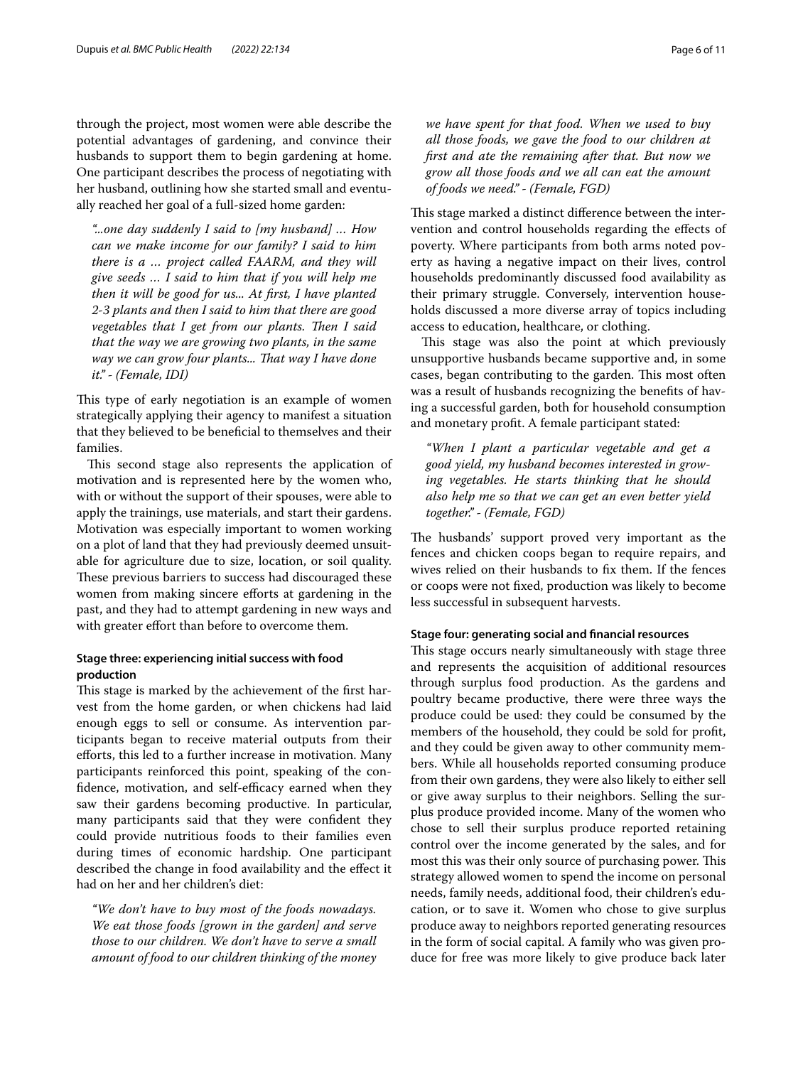through the project, most women were able describe the potential advantages of gardening, and convince their husbands to support them to begin gardening at home. One participant describes the process of negotiating with her husband, outlining how she started small and eventually reached her goal of a full-sized home garden:

*"...one day suddenly I said to [my husband] … How can we make income for our family? I said to him there is a … project called FAARM, and they will give seeds … I said to him that if you will help me then it will be good for us... At frst, I have planted 2-3 plants and then I said to him that there are good vegetables that I get from our plants. Then I said that the way we are growing two plants, in the same way we can grow four plants... Tat way I have done it." - (Female, IDI)*

This type of early negotiation is an example of women strategically applying their agency to manifest a situation that they believed to be benefcial to themselves and their families.

This second stage also represents the application of motivation and is represented here by the women who, with or without the support of their spouses, were able to apply the trainings, use materials, and start their gardens. Motivation was especially important to women working on a plot of land that they had previously deemed unsuitable for agriculture due to size, location, or soil quality. These previous barriers to success had discouraged these women from making sincere efforts at gardening in the past, and they had to attempt gardening in new ways and with greater effort than before to overcome them.

# **Stage three: experiencing initial success with food production**

This stage is marked by the achievement of the first harvest from the home garden, or when chickens had laid enough eggs to sell or consume. As intervention participants began to receive material outputs from their eforts, this led to a further increase in motivation. Many participants reinforced this point, speaking of the confidence, motivation, and self-efficacy earned when they saw their gardens becoming productive. In particular, many participants said that they were confdent they could provide nutritious foods to their families even during times of economic hardship. One participant described the change in food availability and the efect it had on her and her children's diet:

*"We don't have to buy most of the foods nowadays. We eat those foods [grown in the garden] and serve those to our children. We don't have to serve a small amount of food to our children thinking of the money* 

*we have spent for that food. When we used to buy all those foods, we gave the food to our children at frst and ate the remaining after that. But now we grow all those foods and we all can eat the amount of foods we need." - (Female, FGD)*

This stage marked a distinct difference between the intervention and control households regarding the efects of poverty. Where participants from both arms noted poverty as having a negative impact on their lives, control households predominantly discussed food availability as their primary struggle. Conversely, intervention households discussed a more diverse array of topics including access to education, healthcare, or clothing.

This stage was also the point at which previously unsupportive husbands became supportive and, in some cases, began contributing to the garden. This most often was a result of husbands recognizing the benefts of having a successful garden, both for household consumption and monetary proft. A female participant stated:

*"When I plant a particular vegetable and get a good yield, my husband becomes interested in growing vegetables. He starts thinking that he should also help me so that we can get an even better yield together." - (Female, FGD)*

The husbands' support proved very important as the fences and chicken coops began to require repairs, and wives relied on their husbands to fx them. If the fences or coops were not fxed, production was likely to become less successful in subsequent harvests.

#### **Stage four: generating social and fnancial resources**

This stage occurs nearly simultaneously with stage three and represents the acquisition of additional resources through surplus food production. As the gardens and poultry became productive, there were three ways the produce could be used: they could be consumed by the members of the household, they could be sold for proft, and they could be given away to other community members. While all households reported consuming produce from their own gardens, they were also likely to either sell or give away surplus to their neighbors. Selling the surplus produce provided income. Many of the women who chose to sell their surplus produce reported retaining control over the income generated by the sales, and for most this was their only source of purchasing power. This strategy allowed women to spend the income on personal needs, family needs, additional food, their children's education, or to save it. Women who chose to give surplus produce away to neighbors reported generating resources in the form of social capital. A family who was given produce for free was more likely to give produce back later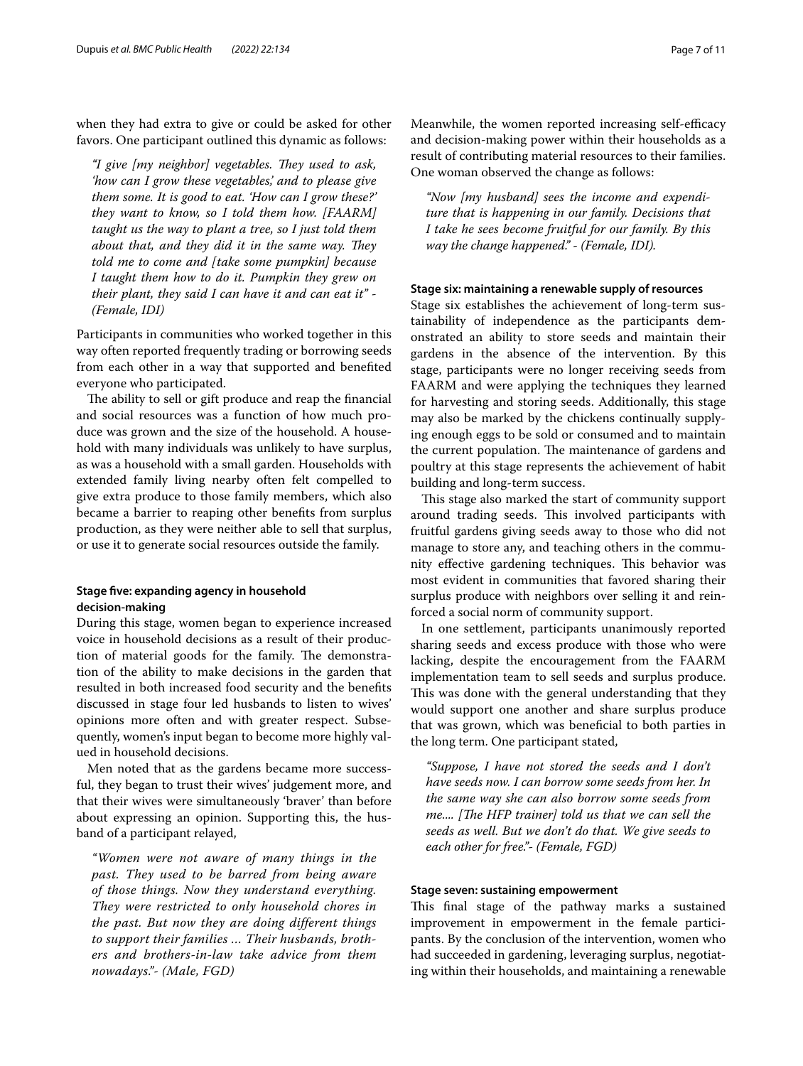when they had extra to give or could be asked for other favors. One participant outlined this dynamic as follows:

*"I give [my neighbor] vegetables. They used to ask, 'how can I grow these vegetables,' and to please give them some. It is good to eat. 'How can I grow these?' they want to know, so I told them how. [FAARM] taught us the way to plant a tree, so I just told them about that, and they did it in the same way. They told me to come and [take some pumpkin] because I taught them how to do it. Pumpkin they grew on their plant, they said I can have it and can eat it" - (Female, IDI)*

Participants in communities who worked together in this way often reported frequently trading or borrowing seeds from each other in a way that supported and benefted everyone who participated.

The ability to sell or gift produce and reap the financial and social resources was a function of how much produce was grown and the size of the household. A household with many individuals was unlikely to have surplus, as was a household with a small garden. Households with extended family living nearby often felt compelled to give extra produce to those family members, which also became a barrier to reaping other benefts from surplus production, as they were neither able to sell that surplus, or use it to generate social resources outside the family.

# **Stage fve: expanding agency in household decision‑making**

During this stage, women began to experience increased voice in household decisions as a result of their production of material goods for the family. The demonstration of the ability to make decisions in the garden that resulted in both increased food security and the benefts discussed in stage four led husbands to listen to wives' opinions more often and with greater respect. Subsequently, women's input began to become more highly valued in household decisions.

Men noted that as the gardens became more successful, they began to trust their wives' judgement more, and that their wives were simultaneously 'braver' than before about expressing an opinion. Supporting this, the husband of a participant relayed,

*"Women were not aware of many things in the past. They used to be barred from being aware of those things. Now they understand everything. They were restricted to only household chores in the past. But now they are doing different things to support their families … Their husbands, brothers and brothers-in-law take advice from them nowadays."- (Male, FGD)*

Meanwhile, the women reported increasing self-efficacy and decision-making power within their households as a result of contributing material resources to their families. One woman observed the change as follows:

*"Now [my husband] sees the income and expenditure that is happening in our family. Decisions that I take he sees become fruitful for our family. By this way the change happened." - (Female, IDI).*

#### **Stage six: maintaining a renewable supply of resources**

Stage six establishes the achievement of long-term sustainability of independence as the participants demonstrated an ability to store seeds and maintain their gardens in the absence of the intervention. By this stage, participants were no longer receiving seeds from FAARM and were applying the techniques they learned for harvesting and storing seeds. Additionally, this stage may also be marked by the chickens continually supplying enough eggs to be sold or consumed and to maintain the current population. The maintenance of gardens and poultry at this stage represents the achievement of habit building and long-term success.

This stage also marked the start of community support around trading seeds. This involved participants with fruitful gardens giving seeds away to those who did not manage to store any, and teaching others in the community effective gardening techniques. This behavior was most evident in communities that favored sharing their surplus produce with neighbors over selling it and reinforced a social norm of community support.

In one settlement, participants unanimously reported sharing seeds and excess produce with those who were lacking, despite the encouragement from the FAARM implementation team to sell seeds and surplus produce. This was done with the general understanding that they would support one another and share surplus produce that was grown, which was benefcial to both parties in the long term. One participant stated,

*"Suppose, I have not stored the seeds and I don't have seeds now. I can borrow some seeds from her. In the same way she can also borrow some seeds from me....* [The HFP trainer] told us that we can sell the *seeds as well. But we don't do that. We give seeds to each other for free."- (Female, FGD)*

#### **Stage seven: sustaining empowerment**

This final stage of the pathway marks a sustained improvement in empowerment in the female participants. By the conclusion of the intervention, women who had succeeded in gardening, leveraging surplus, negotiating within their households, and maintaining a renewable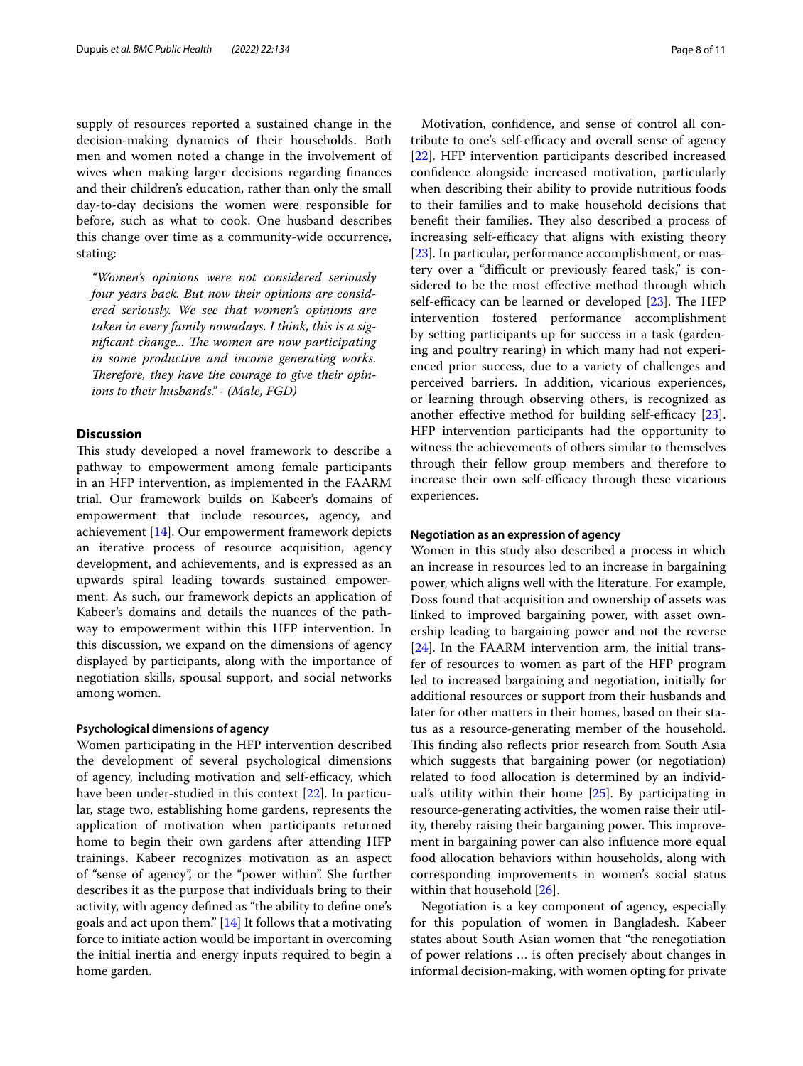supply of resources reported a sustained change in the decision-making dynamics of their households. Both men and women noted a change in the involvement of wives when making larger decisions regarding fnances and their children's education, rather than only the small day-to-day decisions the women were responsible for before, such as what to cook. One husband describes this change over time as a community-wide occurrence, stating:

*"Women's opinions were not considered seriously four years back. But now their opinions are considered seriously. We see that women's opinions are taken in every family nowadays. I think, this is a significant change... The women are now participating in some productive and income generating works.*  Therefore, they have the courage to give their opin*ions to their husbands." - (Male, FGD)*

## **Discussion**

This study developed a novel framework to describe a pathway to empowerment among female participants in an HFP intervention, as implemented in the FAARM trial. Our framework builds on Kabeer's domains of empowerment that include resources, agency, and achievement [\[14](#page-10-3)]. Our empowerment framework depicts an iterative process of resource acquisition, agency development, and achievements, and is expressed as an upwards spiral leading towards sustained empowerment. As such, our framework depicts an application of Kabeer's domains and details the nuances of the pathway to empowerment within this HFP intervention. In this discussion, we expand on the dimensions of agency displayed by participants, along with the importance of negotiation skills, spousal support, and social networks among women.

#### **Psychological dimensions of agency**

Women participating in the HFP intervention described the development of several psychological dimensions of agency, including motivation and self-efficacy, which have been under-studied in this context [[22](#page-10-10)]. In particular, stage two, establishing home gardens, represents the application of motivation when participants returned home to begin their own gardens after attending HFP trainings. Kabeer recognizes motivation as an aspect of "sense of agency", or the "power within". She further describes it as the purpose that individuals bring to their activity, with agency defned as "the ability to defne one's goals and act upon them." [\[14\]](#page-10-3) It follows that a motivating force to initiate action would be important in overcoming the initial inertia and energy inputs required to begin a home garden.

Motivation, confdence, and sense of control all contribute to one's self-efficacy and overall sense of agency [[22\]](#page-10-10). HFP intervention participants described increased confdence alongside increased motivation, particularly when describing their ability to provide nutritious foods to their families and to make household decisions that benefit their families. They also described a process of increasing self-efficacy that aligns with existing theory [[23\]](#page-10-11). In particular, performance accomplishment, or mastery over a "difficult or previously feared task," is considered to be the most efective method through which self-efficacy can be learned or developed  $[23]$  $[23]$  $[23]$ . The HFP intervention fostered performance accomplishment by setting participants up for success in a task (gardening and poultry rearing) in which many had not experienced prior success, due to a variety of challenges and perceived barriers. In addition, vicarious experiences, or learning through observing others, is recognized as another effective method for building self-efficacy  $[23]$  $[23]$ . HFP intervention participants had the opportunity to witness the achievements of others similar to themselves through their fellow group members and therefore to increase their own self-efficacy through these vicarious experiences.

#### **Negotiation as an expression of agency**

Women in this study also described a process in which an increase in resources led to an increase in bargaining power, which aligns well with the literature. For example, Doss found that acquisition and ownership of assets was linked to improved bargaining power, with asset ownership leading to bargaining power and not the reverse [[24\]](#page-10-12). In the FAARM intervention arm, the initial transfer of resources to women as part of the HFP program led to increased bargaining and negotiation, initially for additional resources or support from their husbands and later for other matters in their homes, based on their status as a resource-generating member of the household. This finding also reflects prior research from South Asia which suggests that bargaining power (or negotiation) related to food allocation is determined by an individual's utility within their home [[25\]](#page-10-13). By participating in resource-generating activities, the women raise their utility, thereby raising their bargaining power. This improvement in bargaining power can also infuence more equal food allocation behaviors within households, along with corresponding improvements in women's social status within that household [[26\]](#page-10-14).

Negotiation is a key component of agency, especially for this population of women in Bangladesh. Kabeer states about South Asian women that "the renegotiation of power relations … is often precisely about changes in informal decision-making, with women opting for private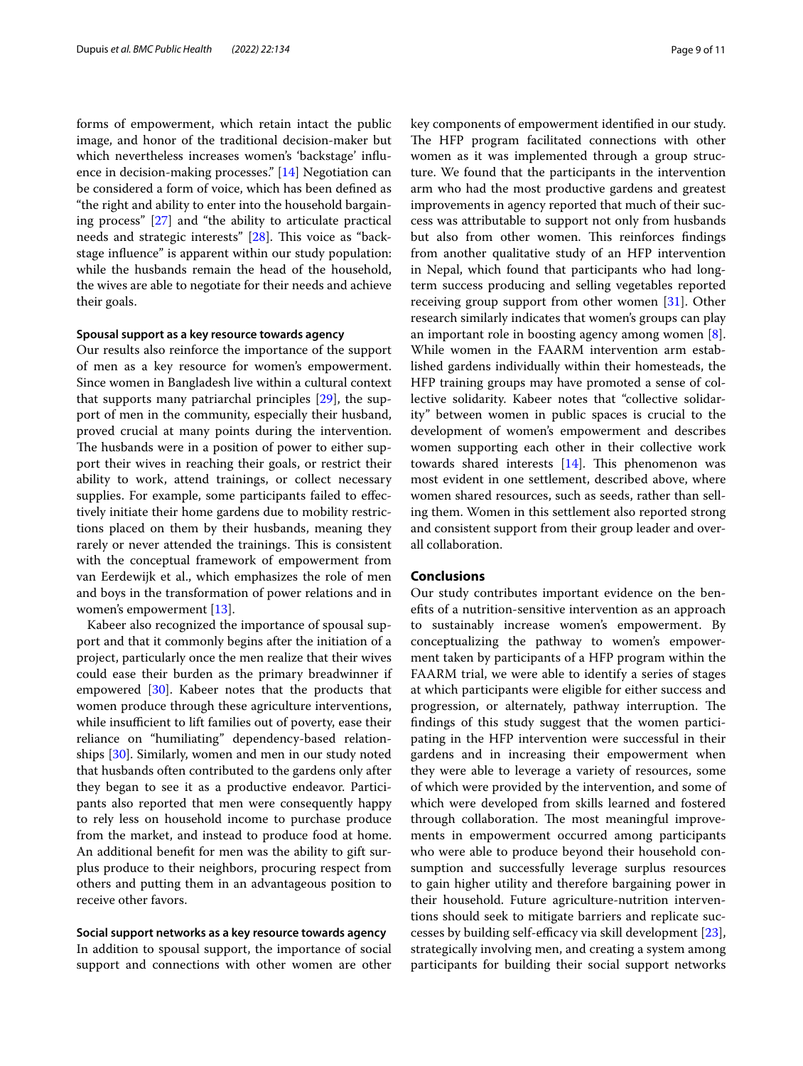forms of empowerment, which retain intact the public image, and honor of the traditional decision-maker but which nevertheless increases women's 'backstage' infuence in decision-making processes." [\[14\]](#page-10-3) Negotiation can be considered a form of voice, which has been defned as "the right and ability to enter into the household bargaining process" [[27\]](#page-10-15) and "the ability to articulate practical needs and strategic interests" [\[28](#page-10-16)]. This voice as "backstage infuence" is apparent within our study population: while the husbands remain the head of the household, the wives are able to negotiate for their needs and achieve their goals.

#### **Spousal support as a key resource towards agency**

Our results also reinforce the importance of the support of men as a key resource for women's empowerment. Since women in Bangladesh live within a cultural context that supports many patriarchal principles [\[29](#page-10-17)], the support of men in the community, especially their husband, proved crucial at many points during the intervention. The husbands were in a position of power to either support their wives in reaching their goals, or restrict their ability to work, attend trainings, or collect necessary supplies. For example, some participants failed to efectively initiate their home gardens due to mobility restrictions placed on them by their husbands, meaning they rarely or never attended the trainings. This is consistent with the conceptual framework of empowerment from van Eerdewijk et al., which emphasizes the role of men and boys in the transformation of power relations and in women's empowerment [\[13](#page-10-2)].

Kabeer also recognized the importance of spousal support and that it commonly begins after the initiation of a project, particularly once the men realize that their wives could ease their burden as the primary breadwinner if empowered [[30\]](#page-10-18). Kabeer notes that the products that women produce through these agriculture interventions, while insufficient to lift families out of poverty, ease their reliance on "humiliating" dependency-based relationships [[30](#page-10-18)]. Similarly, women and men in our study noted that husbands often contributed to the gardens only after they began to see it as a productive endeavor. Participants also reported that men were consequently happy to rely less on household income to purchase produce from the market, and instead to produce food at home. An additional beneft for men was the ability to gift surplus produce to their neighbors, procuring respect from others and putting them in an advantageous position to receive other favors.

# **Social support networks as a key resource towards agency**

In addition to spousal support, the importance of social support and connections with other women are other key components of empowerment identifed in our study. The HFP program facilitated connections with other women as it was implemented through a group structure. We found that the participants in the intervention arm who had the most productive gardens and greatest improvements in agency reported that much of their success was attributable to support not only from husbands but also from other women. This reinforces findings from another qualitative study of an HFP intervention in Nepal, which found that participants who had longterm success producing and selling vegetables reported receiving group support from other women [\[31\]](#page-10-19). Other research similarly indicates that women's groups can play an important role in boosting agency among women [\[8](#page-9-5)]. While women in the FAARM intervention arm established gardens individually within their homesteads, the HFP training groups may have promoted a sense of collective solidarity. Kabeer notes that "collective solidarity" between women in public spaces is crucial to the development of women's empowerment and describes women supporting each other in their collective work towards shared interests  $[14]$  $[14]$ . This phenomenon was most evident in one settlement, described above, where women shared resources, such as seeds, rather than selling them. Women in this settlement also reported strong and consistent support from their group leader and overall collaboration.

# **Conclusions**

Our study contributes important evidence on the benefts of a nutrition-sensitive intervention as an approach to sustainably increase women's empowerment. By conceptualizing the pathway to women's empowerment taken by participants of a HFP program within the FAARM trial, we were able to identify a series of stages at which participants were eligible for either success and progression, or alternately, pathway interruption. The fndings of this study suggest that the women participating in the HFP intervention were successful in their gardens and in increasing their empowerment when they were able to leverage a variety of resources, some of which were provided by the intervention, and some of which were developed from skills learned and fostered through collaboration. The most meaningful improvements in empowerment occurred among participants who were able to produce beyond their household consumption and successfully leverage surplus resources to gain higher utility and therefore bargaining power in their household. Future agriculture-nutrition interventions should seek to mitigate barriers and replicate successes by building self-efficacy via skill development  $[23]$  $[23]$ , strategically involving men, and creating a system among participants for building their social support networks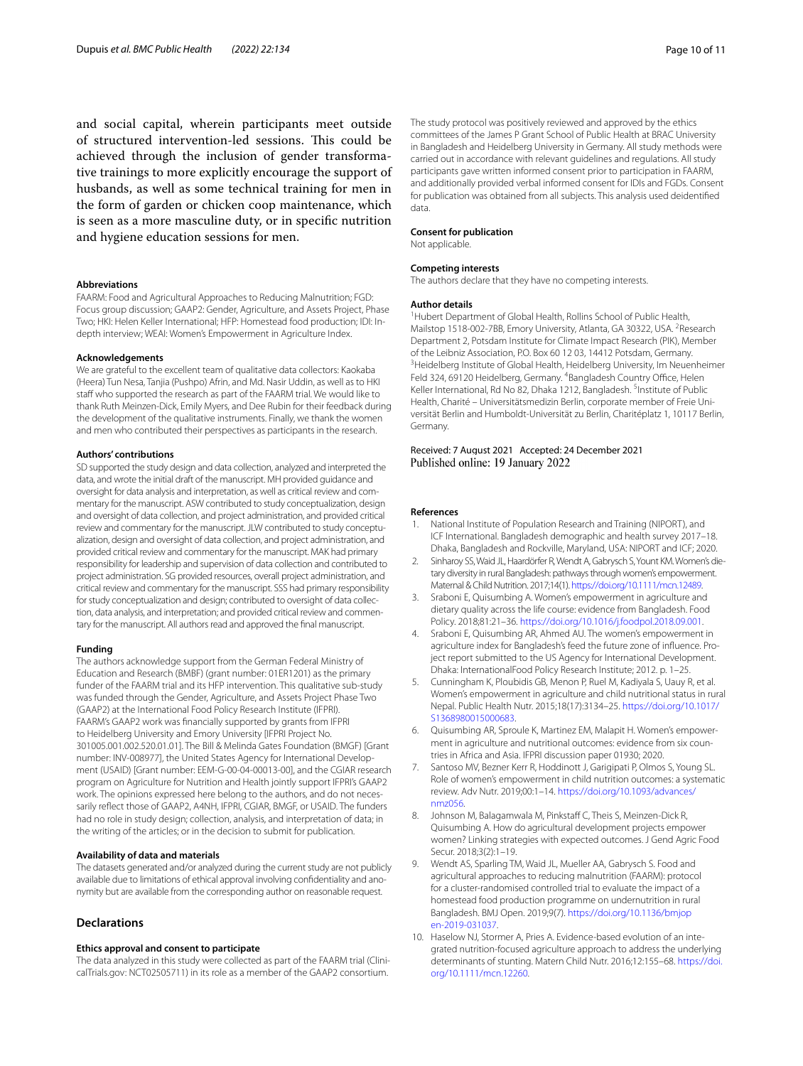and social capital, wherein participants meet outside of structured intervention-led sessions. This could be achieved through the inclusion of gender transformative trainings to more explicitly encourage the support of husbands, as well as some technical training for men in the form of garden or chicken coop maintenance, which is seen as a more masculine duty, or in specifc nutrition and hygiene education sessions for men.

#### **Abbreviations**

FAARM: Food and Agricultural Approaches to Reducing Malnutrition; FGD: Focus group discussion; GAAP2: Gender, Agriculture, and Assets Project, Phase Two; HKI: Helen Keller International; HFP: Homestead food production; IDI: Indepth interview; WEAI: Women's Empowerment in Agriculture Index.

#### **Acknowledgements**

We are grateful to the excellent team of qualitative data collectors: Kaokaba (Heera) Tun Nesa, Tanjia (Pushpo) Afrin, and Md. Nasir Uddin, as well as to HKI staff who supported the research as part of the FAARM trial. We would like to thank Ruth Meinzen-Dick, Emily Myers, and Dee Rubin for their feedback during the development of the qualitative instruments. Finally, we thank the women and men who contributed their perspectives as participants in the research.

#### **Authors' contributions**

SD supported the study design and data collection, analyzed and interpreted the data, and wrote the initial draft of the manuscript. MH provided guidance and oversight for data analysis and interpretation, as well as critical review and commentary for the manuscript. ASW contributed to study conceptualization, design and oversight of data collection, and project administration, and provided critical review and commentary for the manuscript. JLW contributed to study conceptualization, design and oversight of data collection, and project administration, and provided critical review and commentary for the manuscript. MAK had primary responsibility for leadership and supervision of data collection and contributed to project administration. SG provided resources, overall project administration, and critical review and commentary for the manuscript. SSS had primary responsibility for study conceptualization and design; contributed to oversight of data collection, data analysis, and interpretation; and provided critical review and commentary for the manuscript. All authors read and approved the fnal manuscript.

#### **Funding**

The authors acknowledge support from the German Federal Ministry of Education and Research (BMBF) (grant number: 01ER1201) as the primary funder of the FAARM trial and its HFP intervention. This qualitative sub-study was funded through the Gender, Agriculture, and Assets Project Phase Two (GAAP2) at the International Food Policy Research Institute (IFPRI). FAARM's GAAP2 work was fnancially supported by grants from IFPRI to Heidelberg University and Emory University [IFPRI Project No. 301005.001.002.520.01.01]. The Bill & Melinda Gates Foundation (BMGF) [Grant number: INV-008977], the United States Agency for International Development (USAID) [Grant number: EEM-G-00-04-00013-00], and the CGIAR research program on Agriculture for Nutrition and Health jointly support IFPRI's GAAP2 work. The opinions expressed here belong to the authors, and do not necessarily refect those of GAAP2, A4NH, IFPRI, CGIAR, BMGF, or USAID. The funders had no role in study design; collection, analysis, and interpretation of data; in the writing of the articles; or in the decision to submit for publication.

#### **Availability of data and materials**

The datasets generated and/or analyzed during the current study are not publicly available due to limitations of ethical approval involving confdentiality and anonymity but are available from the corresponding author on reasonable request.

#### **Declarations**

#### **Ethics approval and consent to participate**

The data analyzed in this study were collected as part of the FAARM trial (ClinicalTrials.gov: NCT02505711) in its role as a member of the GAAP2 consortium.

The study protocol was positively reviewed and approved by the ethics committees of the James P Grant School of Public Health at BRAC University in Bangladesh and Heidelberg University in Germany. All study methods were carried out in accordance with relevant guidelines and regulations. All study participants gave written informed consent prior to participation in FAARM, and additionally provided verbal informed consent for IDIs and FGDs. Consent for publication was obtained from all subjects. This analysis used deidentifed data.

#### **Consent for publication**

Not applicable.

#### **Competing interests**

The authors declare that they have no competing interests.

#### **Author details**

<sup>1</sup> Hubert Department of Global Health, Rollins School of Public Health, Mailstop 1518-002-7BB, Emory University, Atlanta, GA 30322, USA. <sup>2</sup>Research Department 2, Potsdam Institute for Climate Impact Research (PIK), Member of the Leibniz Association, P.O. Box 60 12 03, 14412 Potsdam, Germany. <sup>3</sup> Heidelberg Institute of Global Health, Heidelberg University, Im Neuenheimer Feld 324, 69120 Heidelberg, Germany. <sup>4</sup>Bangladesh Country Office, Helen Keller International, Rd No 82, Dhaka 1212, Bangladesh. <sup>5</sup>Institute of Public Health, Charité – Universitätsmedizin Berlin, corporate member of Freie Universität Berlin and Humboldt-Universität zu Berlin, Charitéplatz 1, 10117 Berlin, Germany.

# Received: 7 August 2021 Accepted: 24 December 2021<br>Published online: 19 January 2022

#### **References**

- <span id="page-9-0"></span>1. National Institute of Population Research and Training (NIPORT), and ICF International. Bangladesh demographic and health survey 2017–18. Dhaka, Bangladesh and Rockville, Maryland, USA: NIPORT and ICF; 2020.
- 2. Sinharoy SS, Waid JL, Haardörfer R, Wendt A, Gabrysch S, Yount KM. Women's dietary diversity in rural Bangladesh: pathways through women's empowerment. Maternal & Child Nutrition. 2017;14(1).<https://doi.org/10.1111/mcn.12489>.
- <span id="page-9-1"></span>3. Sraboni E, Quisumbing A. Women's empowerment in agriculture and dietary quality across the life course: evidence from Bangladesh. Food Policy. 2018;81:21–36. [https://doi.org/10.1016/j.foodpol.2018.09.001.](https://doi.org/10.1016/j.foodpol.2018.09.001)
- <span id="page-9-2"></span>4. Sraboni E, Quisumbing AR, Ahmed AU. The women's empowerment in agriculture index for Bangladesh's feed the future zone of infuence. Project report submitted to the US Agency for International Development. Dhaka: InternationalFood Policy Research Institute; 2012. p. 1–25.
- <span id="page-9-3"></span>5. Cunningham K, Ploubidis GB, Menon P, Ruel M, Kadiyala S, Uauy R, et al. Women's empowerment in agriculture and child nutritional status in rural Nepal. Public Health Nutr. 2015;18(17):3134–25. [https://doi.org/10.1017/](https://doi.org/10.1017/S1368980015000683) [S1368980015000683.](https://doi.org/10.1017/S1368980015000683)
- Quisumbing AR, Sproule K, Martinez EM, Malapit H. Women's empowerment in agriculture and nutritional outcomes: evidence from six countries in Africa and Asia. IFPRI discussion paper 01930; 2020.
- <span id="page-9-4"></span>7. Santoso MV, Bezner Kerr R, Hoddinott J, Garigipati P, Olmos S, Young SL. Role of women's empowerment in child nutrition outcomes: a systematic review. Adv Nutr. 2019;00:1–14. [https://doi.org/10.1093/advances/](https://doi.org/10.1093/advances/nmz056) [nmz056.](https://doi.org/10.1093/advances/nmz056)
- <span id="page-9-5"></span>8. Johnson M, Balagamwala M, Pinkstaff C, Theis S, Meinzen-Dick R, Quisumbing A. How do agricultural development projects empower women? Linking strategies with expected outcomes. J Gend Agric Food Secur. 2018;3(2):1–19.
- <span id="page-9-6"></span>9. Wendt AS, Sparling TM, Waid JL, Mueller AA, Gabrysch S. Food and agricultural approaches to reducing malnutrition (FAARM): protocol for a cluster-randomised controlled trial to evaluate the impact of a homestead food production programme on undernutrition in rural Bangladesh. BMJ Open. 2019;9(7). [https://doi.org/10.1136/bmjop](https://doi.org/10.1136/bmjopen-2019-031037) [en-2019-031037](https://doi.org/10.1136/bmjopen-2019-031037).
- <span id="page-9-7"></span>10. Haselow NJ, Stormer A, Pries A. Evidence-based evolution of an integrated nutrition-focused agriculture approach to address the underlying determinants of stunting. Matern Child Nutr. 2016;12:155–68. [https://doi.](https://doi.org/10.1111/mcn.12260) [org/10.1111/mcn.12260.](https://doi.org/10.1111/mcn.12260)